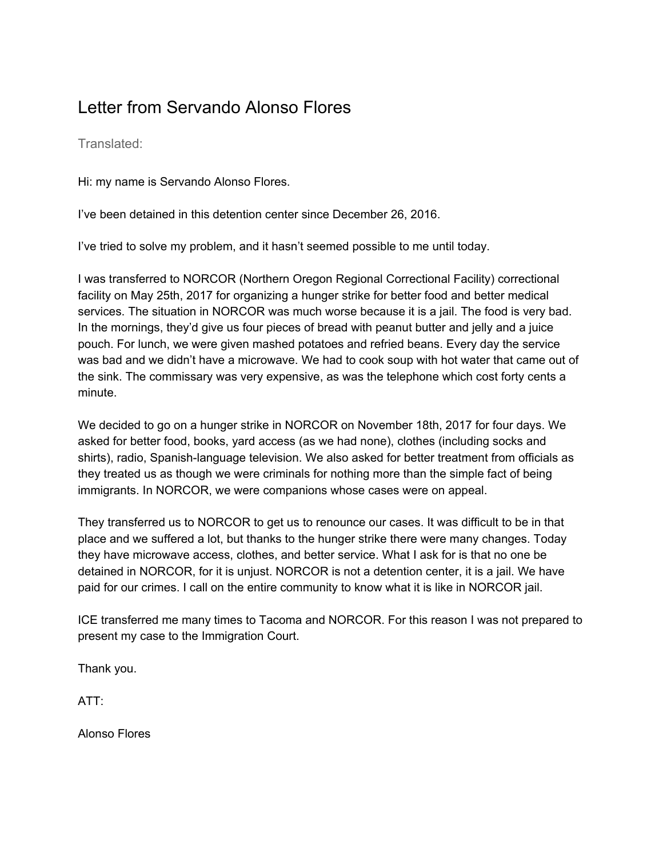## Letter from Servando Alonso Flores

Translated:

Hi: my name is Servando Alonso Flores.

I've been detained in this detention center since December 26, 2016.

I've tried to solve my problem, and it hasn't seemed possible to me until today.

I was transferred to NORCOR (Northern Oregon Regional Correctional Facility) correctional facility on May 25th, 2017 for organizing a hunger strike for better food and better medical services. The situation in NORCOR was much worse because it is a jail. The food is very bad. In the mornings, they'd give us four pieces of bread with peanut butter and jelly and a juice pouch. For lunch, we were given mashed potatoes and refried beans. Every day the service was bad and we didn't have a microwave. We had to cook soup with hot water that came out of the sink. The commissary was very expensive, as was the telephone which cost forty cents a minute.

We decided to go on a hunger strike in NORCOR on November 18th, 2017 for four days. We asked for better food, books, yard access (as we had none), clothes (including socks and shirts), radio, Spanish-language television. We also asked for better treatment from officials as they treated us as though we were criminals for nothing more than the simple fact of being immigrants. In NORCOR, we were companions whose cases were on appeal.

They transferred us to NORCOR to get us to renounce our cases. It was difficult to be in that place and we suffered a lot, but thanks to the hunger strike there were many changes. Today they have microwave access, clothes, and better service. What I ask for is that no one be detained in NORCOR, for it is unjust. NORCOR is not a detention center, it is a jail. We have paid for our crimes. I call on the entire community to know what it is like in NORCOR jail.

ICE transferred me many times to Tacoma and NORCOR. For this reason I was not prepared to present my case to the Immigration Court.

Thank you.

ATT:

Alonso Flores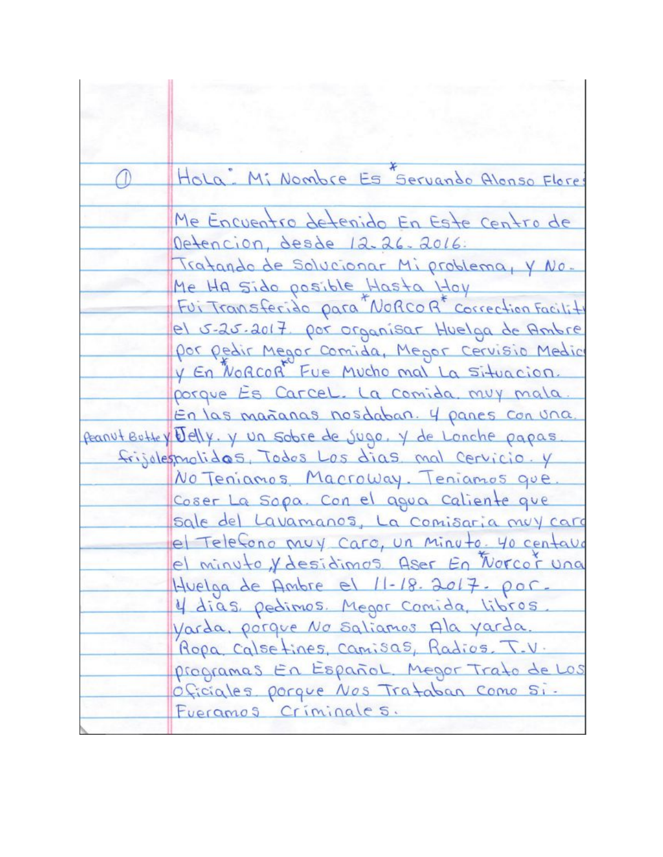|  | Hola: Mi Nombre Es Servando Alonso Flore                                                     |
|--|----------------------------------------------------------------------------------------------|
|  | Me Encuentro detenido En Este centro de                                                      |
|  | Detencion, desde 12-26-2016:                                                                 |
|  | Tratando de Solucionar Mi problema, y No.<br>Me Ha sido posible Hasta Hoy                    |
|  | Fui Transferido para Norcor correction Facility                                              |
|  | el 5-25.2017. por organisar Huelga de Ambre<br>por pedir Megor Comida, Megor Cervisio Medici |
|  | y En Norcor Fue Mucho mal La Situacion.                                                      |
|  | porque Es Carcel. La comida muy mala.<br>En las mañanas nosdaban. 4 panes con una.           |
|  | Peanut Buttey Jelly. y un sobre de jugo. Y de Lonche papas                                   |
|  | frijolesmolidas, Todos Los dias mal Cervicio. y                                              |
|  | No Teniamos Macroway. Teniamos que.                                                          |
|  | Coser La Sopa. Con el agua Caliente que                                                      |
|  | sale del Lavamanos, La Comisaria muy cara                                                    |
|  | el Telefono muy caro, un minuto. 40 centavo                                                  |
|  | el minuto, y desidimos Aser En Norcor una                                                    |
|  | Huelga de Ambre el 11-18. 2017. por.                                                         |
|  | 4 dias, pedimos. Megor Comida, libros                                                        |
|  | Varda, porque No Saliamos Ala yarda.                                                         |
|  | Ropa Calsetines, Camisas, Radios. T.V.                                                       |
|  | programas En Español. Megor Trato de Los                                                     |
|  | Oficiales porque Nos Trataban Como Si.                                                       |
|  | Fueramos Criminales.                                                                         |